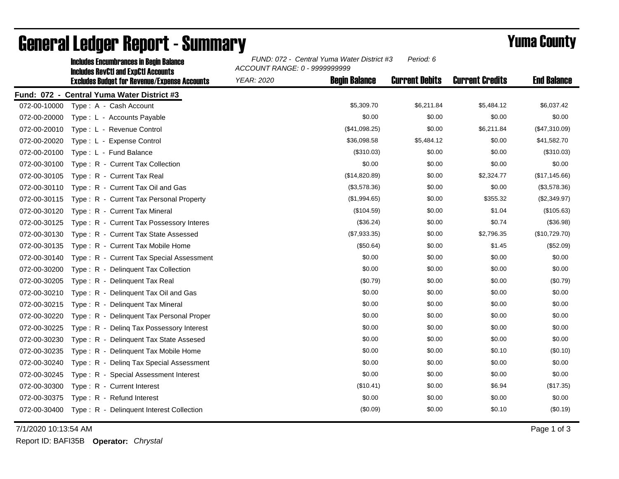|              | <b>Includes Encumbrances in Begin Balance</b><br><b>Includes RevCtI and ExpCtI Accounts</b> | FUND: 072 - Central Yuma Water District #3<br>Period: 6<br>ACCOUNT RANGE: 0 - 9999999999 |                      |                       |                        |                    |
|--------------|---------------------------------------------------------------------------------------------|------------------------------------------------------------------------------------------|----------------------|-----------------------|------------------------|--------------------|
|              | <b>Excludes Budget for Revenue/Expense Accounts</b>                                         | <b>YEAR: 2020</b>                                                                        | <b>Begin Balance</b> | <b>Current Debits</b> | <b>Current Credits</b> | <b>End Balance</b> |
|              | Fund: 072 - Central Yuma Water District #3                                                  |                                                                                          |                      |                       |                        |                    |
| 072-00-10000 | Type: A - Cash Account                                                                      |                                                                                          | \$5,309.70           | \$6,211.84            | \$5,484.12             | \$6,037.42         |
| 072-00-20000 | Type: L - Accounts Payable                                                                  |                                                                                          | \$0.00               | \$0.00                | \$0.00                 | \$0.00             |
| 072-00-20010 | Type: L - Revenue Control                                                                   |                                                                                          | (\$41,098.25)        | \$0.00                | \$6,211.84             | (\$47,310.09)      |
| 072-00-20020 | Type: L - Expense Control                                                                   |                                                                                          | \$36,098.58          | \$5,484.12            | \$0.00                 | \$41,582.70        |
| 072-00-20100 | Type: L - Fund Balance                                                                      |                                                                                          | (\$310.03)           | \$0.00                | \$0.00                 | (\$310.03)         |
| 072-00-30100 | Type: R - Current Tax Collection                                                            |                                                                                          | \$0.00               | \$0.00                | \$0.00                 | \$0.00             |
| 072-00-30105 | Type: R - Current Tax Real                                                                  |                                                                                          | (\$14,820.89)        | \$0.00                | \$2,324.77             | (\$17,145.66)      |
| 072-00-30110 | Type: R - Current Tax Oil and Gas                                                           |                                                                                          | (\$3,578.36)         | \$0.00                | \$0.00                 | (\$3,578.36)       |
| 072-00-30115 | Type: R - Current Tax Personal Property                                                     |                                                                                          | (\$1,994.65)         | \$0.00                | \$355.32               | (\$2,349.97)       |
| 072-00-30120 | Type: R - Current Tax Mineral                                                               |                                                                                          | (\$104.59)           | \$0.00                | \$1.04                 | (\$105.63)         |
| 072-00-30125 | Type: R - Current Tax Possessory Interes                                                    |                                                                                          | (\$36.24)            | \$0.00                | \$0.74                 | (\$36.98)          |
| 072-00-30130 | Type: R - Current Tax State Assessed                                                        |                                                                                          | (\$7,933.35)         | \$0.00                | \$2,796.35             | (\$10,729.70)      |
| 072-00-30135 | Type: R - Current Tax Mobile Home                                                           |                                                                                          | (\$50.64)            | \$0.00                | \$1.45                 | (\$52.09)          |
| 072-00-30140 | Type: R - Current Tax Special Assessment                                                    |                                                                                          | \$0.00               | \$0.00                | \$0.00                 | \$0.00             |
| 072-00-30200 | Type: R - Delinquent Tax Collection                                                         |                                                                                          | \$0.00               | \$0.00                | \$0.00                 | \$0.00             |
| 072-00-30205 | Type: R - Delinguent Tax Real                                                               |                                                                                          | (\$0.79)             | \$0.00                | \$0.00                 | (\$0.79)           |
| 072-00-30210 | Type: R - Delinquent Tax Oil and Gas                                                        |                                                                                          | \$0.00               | \$0.00                | \$0.00                 | \$0.00             |
| 072-00-30215 | Type: R - Delinguent Tax Mineral                                                            |                                                                                          | \$0.00               | \$0.00                | \$0.00                 | \$0.00             |
| 072-00-30220 | Type: R - Delinquent Tax Personal Proper                                                    |                                                                                          | \$0.00               | \$0.00                | \$0.00                 | \$0.00             |
| 072-00-30225 | Type: R - Deling Tax Possessory Interest                                                    |                                                                                          | \$0.00               | \$0.00                | \$0.00                 | \$0.00             |
| 072-00-30230 | Type: R - Delinquent Tax State Assesed                                                      |                                                                                          | \$0.00               | \$0.00                | \$0.00                 | \$0.00             |
| 072-00-30235 | Type: R - Delinquent Tax Mobile Home                                                        |                                                                                          | \$0.00               | \$0.00                | \$0.10                 | (\$0.10)           |
| 072-00-30240 | Type: R - Deling Tax Special Assessment                                                     |                                                                                          | \$0.00               | \$0.00                | \$0.00                 | \$0.00             |
| 072-00-30245 | Type: R - Special Assessment Interest                                                       |                                                                                          | \$0.00               | \$0.00                | \$0.00                 | \$0.00             |
| 072-00-30300 | Type: R - Current Interest                                                                  |                                                                                          | (\$10.41)            | \$0.00                | \$6.94                 | (\$17.35)          |
| 072-00-30375 | Type: R - Refund Interest                                                                   |                                                                                          | \$0.00               | \$0.00                | \$0.00                 | \$0.00             |
| 072-00-30400 | Type: R - Delinquent Interest Collection                                                    |                                                                                          | (\$0.09)             | \$0.00                | \$0.10                 | (\$0.19)           |

## General Ledger Report - Summary **Example 2018** Yuma County

7/1/2020 10:13:54 AM Page 1 of 3

Report ID: BAFI35B **Operator:** *Chrystal*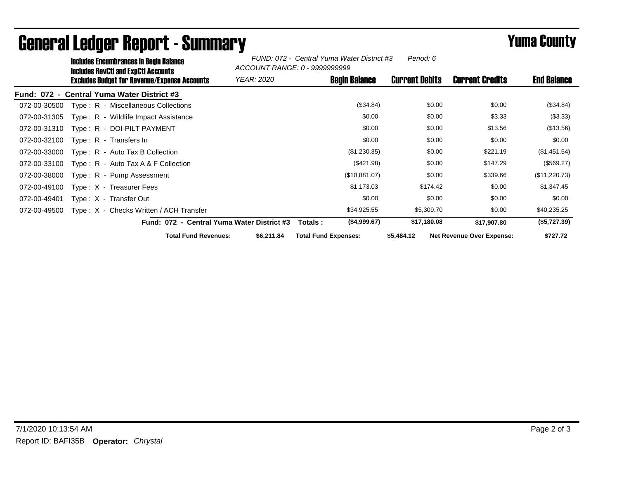|              | Includes Encumbrances in Begin Balance<br>Includes RevCtI and ExpCtI Accounts |                                            |                                            | FUND: 072 - Central Yuma Water District #3<br>Period: 6<br>ACCOUNT RANGE: 0 - 9999999999 |         |                             |                       |          |                                  |                    |
|--------------|-------------------------------------------------------------------------------|--------------------------------------------|--------------------------------------------|------------------------------------------------------------------------------------------|---------|-----------------------------|-----------------------|----------|----------------------------------|--------------------|
|              | <b>Excludes Budget for Revenue/Expense Accounts</b>                           |                                            |                                            | YEAR: 2020                                                                               |         | <b>Begin Balance</b>        | <b>Current Debits</b> |          | <b>Current Credits</b>           | <b>End Balance</b> |
|              |                                                                               | Fund: 072 - Central Yuma Water District #3 |                                            |                                                                                          |         |                             |                       |          |                                  |                    |
| 072-00-30500 |                                                                               | Type: R - Miscellaneous Collections        |                                            |                                                                                          |         | (\$34.84)                   |                       | \$0.00   | \$0.00                           | (\$34.84)          |
| 072-00-31305 |                                                                               | Type: R - Wildlife Impact Assistance       |                                            |                                                                                          |         | \$0.00                      |                       | \$0.00   | \$3.33                           | (\$3.33)           |
| 072-00-31310 |                                                                               | Type: R - DOI-PILT PAYMENT                 |                                            |                                                                                          |         | \$0.00                      |                       | \$0.00   | \$13.56                          | (\$13.56)          |
| 072-00-32100 |                                                                               | Type: $R -$ Transfers In                   |                                            |                                                                                          |         | \$0.00                      |                       | \$0.00   | \$0.00                           | \$0.00             |
| 072-00-33000 |                                                                               | Type: R - Auto Tax B Collection            |                                            |                                                                                          |         | (\$1,230.35)                |                       | \$0.00   | \$221.19                         | (\$1,451.54)       |
| 072-00-33100 |                                                                               | Type: $R -$ Auto Tax A & F Collection      |                                            |                                                                                          |         | (\$421.98)                  |                       | \$0.00   | \$147.29                         | (\$569.27)         |
| 072-00-38000 |                                                                               | Type: R - Pump Assessment                  |                                            |                                                                                          |         | (\$10,881.07)               |                       | \$0.00   | \$339.66                         | (\$11,220.73)      |
| 072-00-49100 |                                                                               | Type: X - Treasurer Fees                   |                                            |                                                                                          |         | \$1,173.03                  |                       | \$174.42 | \$0.00                           | \$1,347.45         |
| 072-00-49401 |                                                                               | Type: X - Transfer Out                     |                                            |                                                                                          |         | \$0.00                      |                       | \$0.00   | \$0.00                           | \$0.00             |
| 072-00-49500 |                                                                               | Type: X - Checks Written / ACH Transfer    |                                            |                                                                                          |         | \$34,925.55                 | \$5,309.70            |          | \$0.00                           | \$40,235.25        |
|              |                                                                               |                                            | Fund: 072 - Central Yuma Water District #3 |                                                                                          | Totals: | (\$4,999.67)                | \$17,180.08           |          | \$17,907.80                      | (\$5,727.39)       |
|              |                                                                               |                                            | <b>Total Fund Revenues:</b>                | \$6,211.84                                                                               |         | <b>Total Fund Expenses:</b> | \$5,484.12            |          | <b>Net Revenue Over Expense:</b> | \$727.72           |

## General Ledger Report - Summary **Example 2018** Yuma County